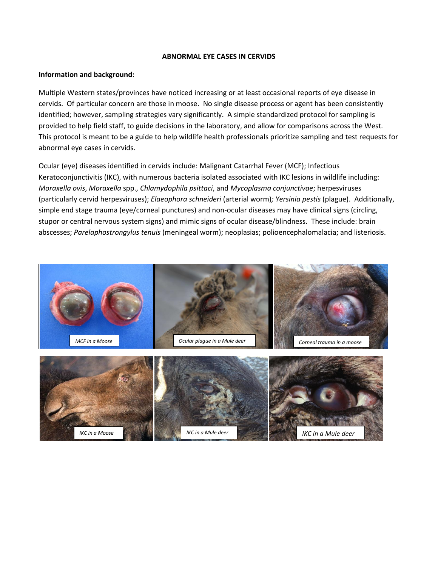#### **ABNORMAL EYE CASES IN CERVIDS**

### **Information and background:**

Multiple Western states/provinces have noticed increasing or at least occasional reports of eye disease in cervids. Of particular concern are those in moose. No single disease process or agent has been consistently identified; however, sampling strategies vary significantly. A simple standardized protocol for sampling is provided to help field staff, to guide decisions in the laboratory, and allow for comparisons across the West. This protocol is meant to be a guide to help wildlife health professionals prioritize sampling and test requests for abnormal eye cases in cervids.

Ocular (eye) diseases identified in cervids include: Malignant Catarrhal Fever (MCF); Infectious Keratoconjunctivitis (IKC), with numerous bacteria isolated associated with IKC lesions in wildlife including: *Moraxella ovis*, *Moraxella* spp., *Chlamydophila psittaci*, and *Mycoplasma conjunctivae*; herpesviruses (particularly cervid herpesviruses); *Elaeophora schneideri* (arterial worm)*; Yersinia pestis* (plague). Additionally, simple end stage trauma (eye/corneal punctures) and non-ocular diseases may have clinical signs (circling, stupor or central nervous system signs) and mimic signs of ocular disease/blindness. These include: brain abscesses; *Parelaphostrongylus tenuis* (meningeal worm); neoplasias; polioencephalomalacia; and listeriosis.

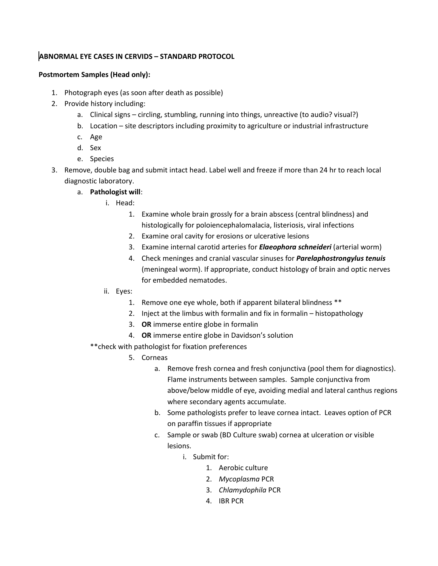# **ABNORMAL EYE CASES IN CERVIDS – STANDARD PROTOCOL**

### **Postmortem Samples (Head only):**

- 1. Photograph eyes (as soon after death as possible)
- 2. Provide history including:
	- a. Clinical signs circling, stumbling, running into things, unreactive (to audio? visual?)
	- b. Location site descriptors including proximity to agriculture or industrial infrastructure
	- c. Age
	- d. Sex
	- e. Species
- 3. Remove, double bag and submit intact head. Label well and freeze if more than 24 hr to reach local diagnostic laboratory.
	- a. **Pathologist will**:
		- i. Head:
			- 1. Examine whole brain grossly for a brain abscess (central blindness) and histologically for poloiencephalomalacia, listeriosis, viral infections
			- 2. Examine oral cavity for erosions or ulcerative lesions
			- 3. Examine internal carotid arteries for *Elaeophora schneideri* (arterial worm)
			- 4. Check meninges and cranial vascular sinuses for *Parelaphostrongylus tenuis* (meningeal worm). If appropriate, conduct histology of brain and optic nerves for embedded nematodes.
		- ii. Eyes:
			- 1. Remove one eye whole, both if apparent bilateral blindness \*\*
			- 2. Inject at the limbus with formalin and fix in formalin histopathology
			- 3. **OR** immerse entire globe in formalin
			- 4. **OR** immerse entire globe in Davidson's solution
		- \*\*check with pathologist for fixation preferences
			- 5. Corneas
				- a. Remove fresh cornea and fresh conjunctiva (pool them for diagnostics). Flame instruments between samples. Sample conjunctiva from above/below middle of eye, avoiding medial and lateral canthus regions where secondary agents accumulate.
				- b. Some pathologists prefer to leave cornea intact. Leaves option of PCR on paraffin tissues if appropriate
				- c. Sample or swab (BD Culture swab) cornea at ulceration or visible lesions.
					- i. Submit for:
						- 1. Aerobic culture
						- 2. *Mycoplasma* PCR
						- 3. *Chlamydophila* PCR
						- 4. IBR PCR